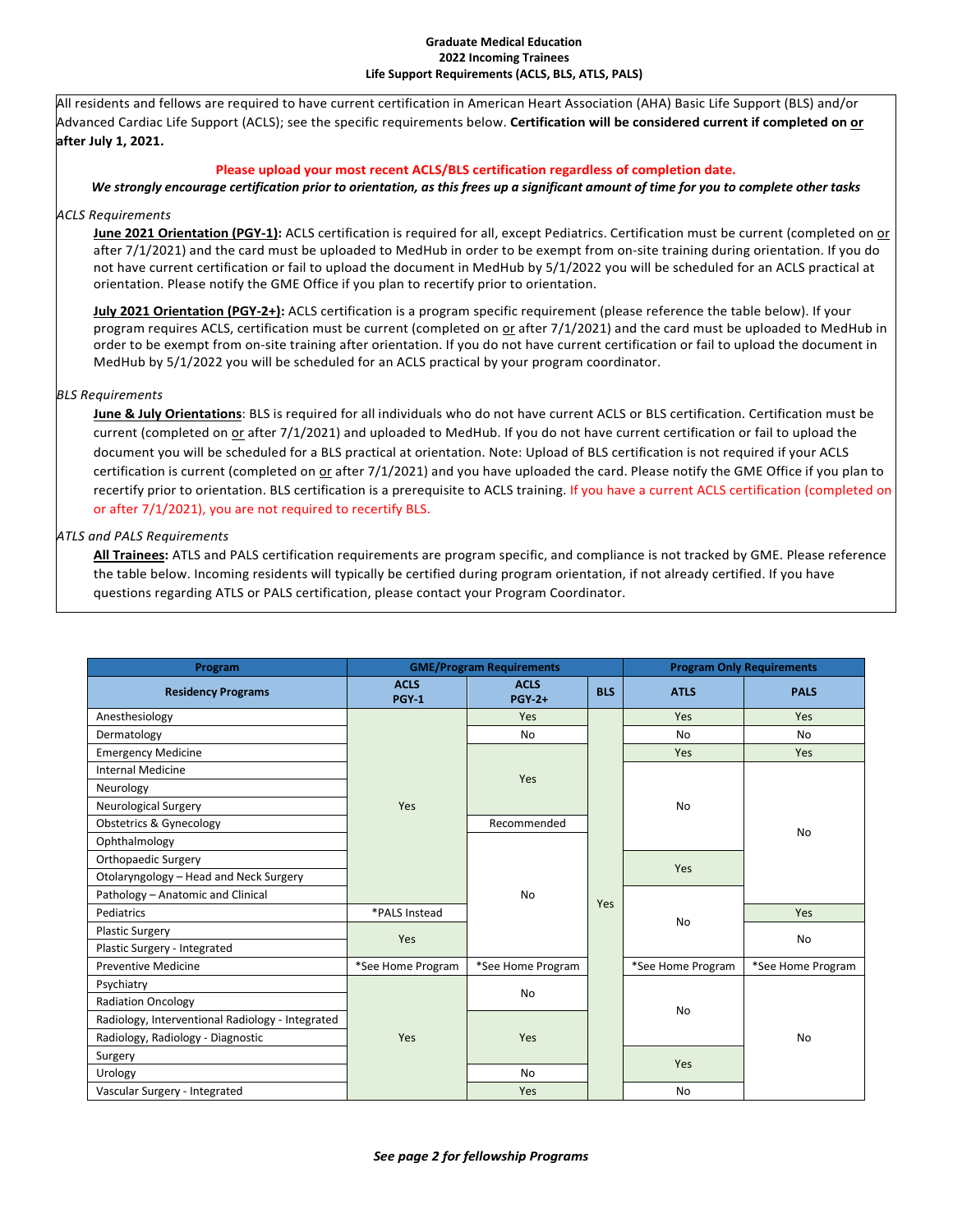#### **Graduate Medical Education 2022 Incoming Trainees Life Support Requirements (ACLS, BLS, ATLS, PALS)**

All residents and fellows are required to have current certification in American Heart Association (AHA) Basic Life Support (BLS) and/or Advanced Cardiac Life Support (ACLS); see the specific requirements below. **Certification will be considered current if completed on or after July 1, 2021.**

## **Please upload your most recent ACLS/BLS certification regardless of completion date.**

# *We strongly encourage certification prior to orientation, as this frees up a significant amount of time for you to complete other tasks*

### *ACLS Requirements*

**June 2021 Orientation (PGY-1):** ACLS certification is required for all, except Pediatrics. Certification must be current (completed on or after 7/1/2021) and the card must be uploaded to MedHub in order to be exempt from on-site training during orientation. If you do not have current certification or fail to upload the document in MedHub by 5/1/2022 you will be scheduled for an ACLS practical at orientation. Please notify the GME Office if you plan to recertify prior to orientation.

**July 2021 Orientation (PGY-2+):** ACLS certification is a program specific requirement (please reference the table below). If your program requires ACLS, certification must be current (completed on or after 7/1/2021) and the card must be uploaded to MedHub in order to be exempt from on-site training after orientation. If you do not have current certification or fail to upload the document in MedHub by 5/1/2022 you will be scheduled for an ACLS practical by your program coordinator.

### *BLS Requirements*

**June & July Orientations**: BLS is required for all individuals who do not have current ACLS or BLS certification. Certification must be current (completed on or after 7/1/2021) and uploaded to MedHub. If you do not have current certification or fail to upload the document you will be scheduled for a BLS practical at orientation. Note: Upload of BLS certification is not required if your ACLS certification is current (completed on or after 7/1/2021) and you have uploaded the card. Please notify the GME Office if you plan to recertify prior to orientation. BLS certification is a prerequisite to ACLS training. If you have a current ACLS certification (completed on or after 7/1/2021), you are not required to recertify BLS.

### *ATLS and PALS Requirements*

**All Trainees:** ATLS and PALS certification requirements are program specific, and compliance is not tracked by GME. Please reference the table below. Incoming residents will typically be certified during program orientation, if not already certified. If you have questions regarding ATLS or PALS certification, please contact your Program Coordinator.

| Program                                          | <b>GME/Program Requirements</b> |                              |            | <b>Program Only Requirements</b> |                   |  |
|--------------------------------------------------|---------------------------------|------------------------------|------------|----------------------------------|-------------------|--|
| <b>Residency Programs</b>                        | <b>ACLS</b><br>PGY <sub>1</sub> | <b>ACLS</b><br><b>PGY-2+</b> | <b>BLS</b> | <b>ATLS</b>                      | <b>PALS</b>       |  |
| Anesthesiology                                   |                                 | Yes                          |            | <b>Yes</b>                       | Yes               |  |
| Dermatology                                      |                                 | <b>No</b>                    |            | <b>No</b>                        | <b>No</b>         |  |
| <b>Emergency Medicine</b>                        |                                 | Yes                          |            | <b>Yes</b>                       | Yes               |  |
| Internal Medicine                                |                                 |                              |            | <b>No</b><br>Yes                 | <b>No</b>         |  |
| Neurology                                        |                                 |                              |            |                                  |                   |  |
| <b>Neurological Surgery</b>                      | Yes                             |                              |            |                                  |                   |  |
| <b>Obstetrics &amp; Gynecology</b>               |                                 | Recommended                  |            |                                  |                   |  |
| Ophthalmology                                    |                                 | <b>No</b>                    |            |                                  |                   |  |
| Orthopaedic Surgery                              |                                 |                              |            |                                  |                   |  |
| Otolaryngology - Head and Neck Surgery           |                                 |                              |            |                                  |                   |  |
| Pathology - Anatomic and Clinical                |                                 |                              | Yes        |                                  |                   |  |
| Pediatrics                                       | *PALS Instead                   |                              |            | <b>No</b>                        | Yes               |  |
| <b>Plastic Surgery</b>                           | Yes                             |                              |            |                                  | No                |  |
| Plastic Surgery - Integrated                     |                                 |                              |            |                                  |                   |  |
| Preventive Medicine                              | *See Home Program               | *See Home Program            |            | *See Home Program                | *See Home Program |  |
| Psychiatry                                       |                                 | No                           |            |                                  |                   |  |
| <b>Radiation Oncology</b>                        |                                 |                              |            | <b>No</b>                        |                   |  |
| Radiology, Interventional Radiology - Integrated |                                 | Yes                          |            |                                  |                   |  |
| Radiology, Radiology - Diagnostic                | Yes                             |                              |            |                                  | No                |  |
| Surgery                                          |                                 |                              |            | Yes                              |                   |  |
| Urology                                          |                                 | <b>No</b>                    |            |                                  |                   |  |
| Vascular Surgery - Integrated                    |                                 | Yes                          |            | <b>No</b>                        |                   |  |